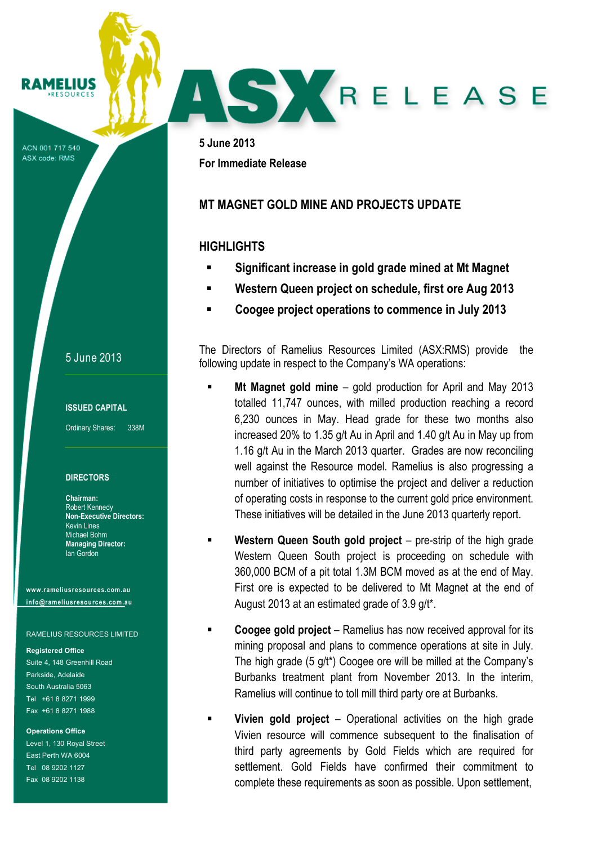ACN 001 717 540 ASX code: RMS

**RAMELIUS RESOURCES** 

## 5 June 2013

### **ISSUED CAPITAL**

Ordinary Shares: 338M

### **DIRECTORS**

**Chairman:** Robert Kennedy **Non-Executive Directors:** Kevin Lines Michael Bohm **Managing Director:** Ian Gordon

**www.rameliusresources.com.au info@rameliusresources.com.au**

### RAMELIUS RESOURCES LIMITED

#### **Registered Office**

Suite 4, 148 Greenhill Road Parkside, Adelaide South Australia 5063 Tel +61 8 8271 1999 Fax +61 8 8271 1988

#### **Operations Office**

Level 1, 130 Royal Street East Perth WA 6004 Tel 08 9202 1127 Fax 08 9202 1138

**5 June 2013 For Immediate Release**

## **MT MAGNET GOLD MINE AND PROJECTS UPDATE**

## **HIGHLIGHTS**

! **Significant increase in gold grade mined at Mt Magnet**

SY RELEASE

- ! **Western Queen project on schedule, first ore Aug 2013**
- ! **Coogee project operations to commence in July 2013**

The Directors of Ramelius Resources Limited (ASX:RMS) provide the following update in respect to the Company's WA operations:

- ! **Mt Magnet gold mine** gold production for April and May 2013 totalled 11,747 ounces, with milled production reaching a record 6,230 ounces in May. Head grade for these two months also increased 20% to 1.35 g/t Au in April and 1.40 g/t Au in May up from 1.16 g/t Au in the March 2013 quarter. Grades are now reconciling well against the Resource model. Ramelius is also progressing a number of initiatives to optimise the project and deliver a reduction of operating costs in response to the current gold price environment. These initiatives will be detailed in the June 2013 quarterly report.
- ! **Western Queen South gold project** pre-strip of the high grade Western Queen South project is proceeding on schedule with 360,000 BCM of a pit total 1.3M BCM moved as at the end of May. First ore is expected to be delivered to Mt Magnet at the end of August 2013 at an estimated grade of 3.9 g/t\*.
- **Coogee gold project** Ramelius has now received approval for its mining proposal and plans to commence operations at site in July. The high grade (5 g/t\*) Coogee ore will be milled at the Company's Burbanks treatment plant from November 2013. In the interim, Ramelius will continue to toll mill third party ore at Burbanks.
- **Vivien gold project** Operational activities on the high grade Vivien resource will commence subsequent to the finalisation of third party agreements by Gold Fields which are required for settlement. Gold Fields have confirmed their commitment to complete these requirements as soon as possible. Upon settlement,